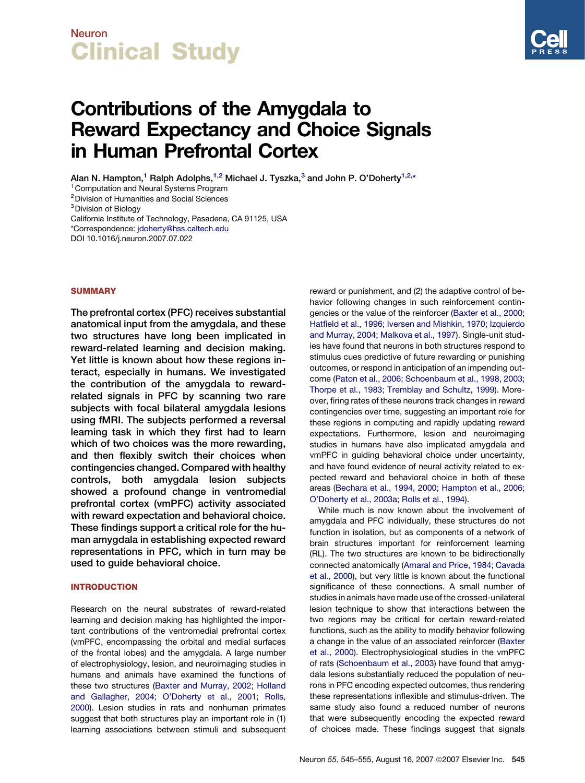# **Neuron** Clinical Study

# Contributions of the Amygdala to Reward Expectancy and Choice Signals in Human Prefrontal Cortex

Alan N. Hampton,<sup>1</sup> Ralph Adolphs,<sup>1,2</sup> Michael J. Tyszka,<sup>3</sup> and John P. O'Doherty<sup>1,2,\*</sup>

1Computation and Neural Systems Program

2Division of Humanities and Social Sciences

<sup>3</sup> Division of Biology

California Institute of Technology, Pasadena, CA 91125, USA \*Correspondence: [jdoherty@hss.caltech.edu](mailto:jdoherty@hss.caltech.edu)

DOI 10.1016/j.neuron.2007.07.022

## **SUMMARY**

The prefrontal cortex (PFC) receives substantial anatomical input from the amygdala, and these two structures have long been implicated in reward-related learning and decision making. Yet little is known about how these regions interact, especially in humans. We investigated the contribution of the amygdala to rewardrelated signals in PFC by scanning two rare subjects with focal bilateral amygdala lesions using fMRI. The subjects performed a reversal learning task in which they first had to learn which of two choices was the more rewarding, and then flexibly switch their choices when contingencies changed. Compared with healthy controls, both amygdala lesion subjects showed a profound change in ventromedial prefrontal cortex (vmPFC) activity associated with reward expectation and behavioral choice. These findings support a critical role for the human amygdala in establishing expected reward representations in PFC, which in turn may be used to guide behavioral choice.

# **INTRODUCTION**

Research on the neural substrates of reward-related learning and decision making has highlighted the important contributions of the ventromedial prefrontal cortex (vmPFC, encompassing the orbital and medial surfaces of the frontal lobes) and the amygdala. A large number of electrophysiology, lesion, and neuroimaging studies in humans and animals have examined the functions of these two structures [\(Baxter and Murray, 2002; Holland](#page-9-0) [and Gallagher, 2004; O'Doherty et al., 2001; Rolls,](#page-9-0) [2000](#page-9-0)). Lesion studies in rats and nonhuman primates suggest that both structures play an important role in (1) learning associations between stimuli and subsequent reward or punishment, and (2) the adaptive control of behavior following changes in such reinforcement contingencies or the value of the reinforcer [\(Baxter et al., 2000;](#page-9-0) [Hatfield et al., 1996; Iversen and Mishkin, 1970; Izquierdo](#page-9-0) [and Murray, 2004; Malkova et al., 1997\)](#page-9-0). Single-unit studies have found that neurons in both structures respond to stimulus cues predictive of future rewarding or punishing outcomes, or respond in anticipation of an impending outcome [\(Paton et al., 2006; Schoenbaum et al., 1998, 2003;](#page-9-0) [Thorpe et al., 1983; Tremblay and Schultz, 1999\)](#page-9-0). Moreover, firing rates of these neurons track changes in reward contingencies over time, suggesting an important role for these regions in computing and rapidly updating reward expectations. Furthermore, lesion and neuroimaging studies in humans have also implicated amygdala and vmPFC in guiding behavioral choice under uncertainty, and have found evidence of neural activity related to expected reward and behavioral choice in both of these areas ([Bechara et al., 1994, 2000; Hampton et al., 2006;](#page-9-0) [O'Doherty et al., 2003a; Rolls et al., 1994\)](#page-9-0).

While much is now known about the involvement of amygdala and PFC individually, these structures do not function in isolation, but as components of a network of brain structures important for reinforcement learning (RL). The two structures are known to be bidirectionally connected anatomically ([Amaral and Price, 1984; Cavada](#page-9-0) [et al., 2000\)](#page-9-0), but very little is known about the functional significance of these connections. A small number of studies in animals have made use of the crossed-unilateral lesion technique to show that interactions between the two regions may be critical for certain reward-related functions, such as the ability to modify behavior following a change in the value of an associated reinforcer [\(Baxter](#page-9-0) [et al., 2000\)](#page-9-0). Electrophysiological studies in the vmPFC of rats ([Schoenbaum et al., 2003](#page-10-0)) have found that amygdala lesions substantially reduced the population of neurons in PFC encoding expected outcomes, thus rendering these representations inflexible and stimulus-driven. The same study also found a reduced number of neurons that were subsequently encoding the expected reward of choices made. These findings suggest that signals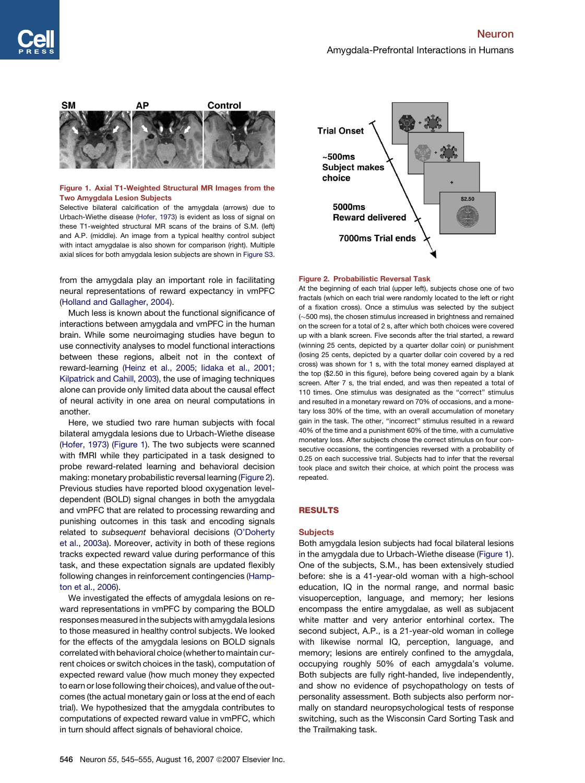<span id="page-1-0"></span>

## Figure 1. Axial T1-Weighted Structural MR Images from the Two Amygdala Lesion Subjects

Selective bilateral calcification of the amygdala (arrows) due to Urbach-Wiethe disease [\(Hofer, 1973](#page-9-0)) is evident as loss of signal on these T1-weighted structural MR scans of the brains of S.M. (left) and A.P. (middle). An image from a typical healthy control subject with intact amygdalae is also shown for comparison (right). Multiple axial slices for both amygdala lesion subjects are shown in [Figure S3](#page-8-0).

from the amygdala play an important role in facilitating neural representations of reward expectancy in vmPFC ([Holland and Gallagher, 2004\)](#page-9-0).

Much less is known about the functional significance of interactions between amygdala and vmPFC in the human brain. While some neuroimaging studies have begun to use connectivity analyses to model functional interactions between these regions, albeit not in the context of reward-learning ([Heinz et al., 2005; Iidaka et al., 2001;](#page-9-0) [Kilpatrick and Cahill, 2003\)](#page-9-0), the use of imaging techniques alone can provide only limited data about the causal effect of neural activity in one area on neural computations in another.

Here, we studied two rare human subjects with focal bilateral amygdala lesions due to Urbach-Wiethe disease ([Hofer, 1973\)](#page-9-0) (Figure 1). The two subjects were scanned with fMRI while they participated in a task designed to probe reward-related learning and behavioral decision making: monetary probabilistic reversal learning (Figure 2). Previous studies have reported blood oxygenation leveldependent (BOLD) signal changes in both the amygdala and vmPFC that are related to processing rewarding and punishing outcomes in this task and encoding signals related to *subsequent* behavioral decisions [\(O'Doherty](#page-9-0) [et al., 2003a\)](#page-9-0). Moreover, activity in both of these regions tracks expected reward value during performance of this task, and these expectation signals are updated flexibly following changes in reinforcement contingencies ([Hamp](#page-9-0)[ton et al., 2006](#page-9-0)).

We investigated the effects of amygdala lesions on reward representations in vmPFC by comparing the BOLD responses measured in the subjects with amygdala lesions to those measured in healthy control subjects. We looked for the effects of the amygdala lesions on BOLD signals correlated with behavioral choice (whether to maintain current choices or switch choices in the task), computation of expected reward value (how much money they expected to earn or lose following their choices), and value of the outcomes (the actual monetary gain or loss at the end of each trial). We hypothesized that the amygdala contributes to computations of expected reward value in vmPFC, which in turn should affect signals of behavioral choice.



### Figure 2. Probabilistic Reversal Task

At the beginning of each trial (upper left), subjects chose one of two fractals (which on each trial were randomly located to the left or right of a fixation cross). Once a stimulus was selected by the subject ( $\sim$ 500 ms), the chosen stimulus increased in brightness and remained on the screen for a total of 2 s, after which both choices were covered up with a blank screen. Five seconds after the trial started, a reward (winning 25 cents, depicted by a quarter dollar coin) or punishment (losing 25 cents, depicted by a quarter dollar coin covered by a red cross) was shown for 1 s, with the total money earned displayed at the top (\$2.50 in this figure), before being covered again by a blank screen. After 7 s, the trial ended, and was then repeated a total of 110 times. One stimulus was designated as the ''correct'' stimulus and resulted in a monetary reward on 70% of occasions, and a monetary loss 30% of the time, with an overall accumulation of monetary gain in the task. The other, "incorrect" stimulus resulted in a reward 40% of the time and a punishment 60% of the time, with a cumulative monetary loss. After subjects chose the correct stimulus on four consecutive occasions, the contingencies reversed with a probability of 0.25 on each successive trial. Subjects had to infer that the reversal took place and switch their choice, at which point the process was repeated.

## RESULTS

### **Subjects**

Both amygdala lesion subjects had focal bilateral lesions in the amygdala due to Urbach-Wiethe disease (Figure 1). One of the subjects, S.M., has been extensively studied before: she is a 41-year-old woman with a high-school education, IQ in the normal range, and normal basic visuoperception, language, and memory; her lesions encompass the entire amygdalae, as well as subjacent white matter and very anterior entorhinal cortex. The second subject, A.P., is a 21-year-old woman in college with likewise normal IQ, perception, language, and memory; lesions are entirely confined to the amygdala, occupying roughly 50% of each amygdala's volume. Both subjects are fully right-handed, live independently, and show no evidence of psychopathology on tests of personality assessment. Both subjects also perform normally on standard neuropsychological tests of response switching, such as the Wisconsin Card Sorting Task and the Trailmaking task.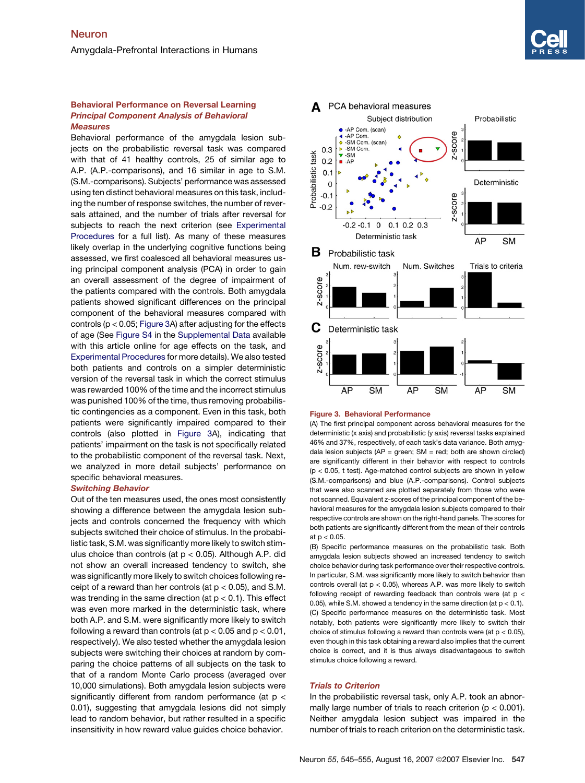## <span id="page-2-0"></span>Behavioral Performance on Reversal Learning Principal Component Analysis of Behavioral **Measures**

Behavioral performance of the amygdala lesion subjects on the probabilistic reversal task was compared with that of 41 healthy controls, 25 of similar age to A.P. (A.P.-comparisons), and 16 similar in age to S.M. (S.M.-comparisons). Subjects' performance was assessed using ten distinct behavioral measures on this task, including the number of response switches, the number of reversals attained, and the number of trials after reversal for subjects to reach the next criterion (see [Experimental](#page-7-0) [Procedures](#page-7-0) for a full list). As many of these measures likely overlap in the underlying cognitive functions being assessed, we first coalesced all behavioral measures using principal component analysis (PCA) in order to gain an overall assessment of the degree of impairment of the patients compared with the controls. Both amygdala patients showed significant differences on the principal component of the behavioral measures compared with controls ( $p < 0.05$ ; Figure 3A) after adjusting for the effects of age (See [Figure S4](#page-8-0) in the [Supplemental Data](#page-8-0) available with this article online for age effects on the task, and [Experimental Procedures](#page-7-0) for more details). We also tested both patients and controls on a simpler deterministic version of the reversal task in which the correct stimulus was rewarded 100% of the time and the incorrect stimulus was punished 100% of the time, thus removing probabilistic contingencies as a component. Even in this task, both patients were significantly impaired compared to their controls (also plotted in Figure 3A), indicating that patients' impairment on the task is not specifically related to the probabilistic component of the reversal task. Next, we analyzed in more detail subjects' performance on specific behavioral measures.

## Switching Behavior

Out of the ten measures used, the ones most consistently showing a difference between the amygdala lesion subjects and controls concerned the frequency with which subjects switched their choice of stimulus. In the probabilistic task, S.M. was significantly more likely to switch stimulus choice than controls (at  $p < 0.05$ ). Although A.P. did not show an overall increased tendency to switch, she was significantly more likely to switch choices following receipt of a reward than her controls (at  $p < 0.05$ ), and S.M. was trending in the same direction (at  $p < 0.1$ ). This effect was even more marked in the deterministic task, where both A.P. and S.M. were significantly more likely to switch following a reward than controls (at  $p < 0.05$  and  $p < 0.01$ , respectively). We also tested whether the amygdala lesion subjects were switching their choices at random by comparing the choice patterns of all subjects on the task to that of a random Monte Carlo process (averaged over 10,000 simulations). Both amygdala lesion subjects were significantly different from random performance (at p < 0.01), suggesting that amygdala lesions did not simply lead to random behavior, but rather resulted in a specific insensitivity in how reward value guides choice behavior.





(A) The first principal component across behavioral measures for the deterministic (x axis) and probabilistic (y axis) reversal tasks explained 46% and 37%, respectively, of each task's data variance. Both amygdala lesion subjects ( $AP = green$ ;  $SM = red$ ; both are shown circled) are significantly different in their behavior with respect to controls (p < 0.05, t test). Age-matched control subjects are shown in yellow (S.M.-comparisons) and blue (A.P.-comparisons). Control subjects that were also scanned are plotted separately from those who were not scanned. Equivalent z-scores of the principal component of the behavioral measures for the amygdala lesion subjects compared to their respective controls are shown on the right-hand panels. The scores for both patients are significantly different from the mean of their controls at  $p < 0.05$ .

(B) Specific performance measures on the probabilistic task. Both amygdala lesion subjects showed an increased tendency to switch choice behavior during task performance over their respective controls. In particular, S.M. was significantly more likely to switch behavior than controls overall (at  $p < 0.05$ ), whereas A.P. was more likely to switch following receipt of rewarding feedback than controls were (at  $p <$ 0.05), while S.M. showed a tendency in the same direction (at  $p < 0.1$ ). (C) Specific performance measures on the deterministic task. Most notably, both patients were significantly more likely to switch their choice of stimulus following a reward than controls were (at  $p < 0.05$ ), even though in this task obtaining a reward also implies that the current choice is correct, and it is thus always disadvantageous to switch stimulus choice following a reward.

### Trials to Criterion

In the probabilistic reversal task, only A.P. took an abnormally large number of trials to reach criterion ( $p < 0.001$ ). Neither amygdala lesion subject was impaired in the number of trials to reach criterion on the deterministic task.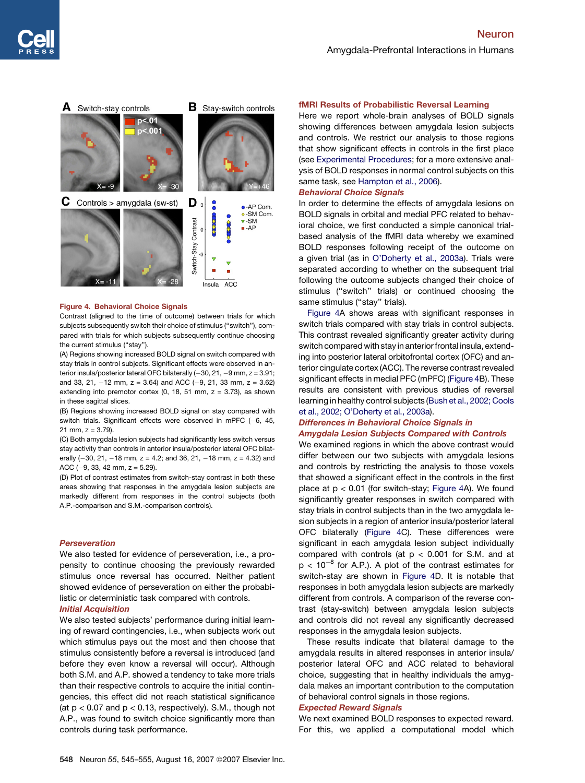

#### Figure 4. Behavioral Choice Signals

Contrast (aligned to the time of outcome) between trials for which subjects subsequently switch their choice of stimulus (''switch''), compared with trials for which subjects subsequently continue choosing the current stimulus (''stay'').

(A) Regions showing increased BOLD signal on switch compared with stay trials in control subjects. Significant effects were observed in anterior insula/posterior lateral OFC bilaterally  $(-30, 21, -9$  mm,  $z = 3.91$ ; and 33, 21,  $-12$  mm,  $z = 3.64$ ) and ACC ( $-9$ , 21, 33 mm,  $z = 3.62$ ) extending into premotor cortex  $(0, 18, 51 \text{ mm}, z = 3.73)$ , as shown in these sagittal slices.

(B) Regions showing increased BOLD signal on stay compared with switch trials. Significant effects were observed in mPFC  $(-6, 45,$ 21 mm,  $z = 3.79$ ).

(C) Both amygdala lesion subjects had significantly less switch versus stay activity than controls in anterior insula/posterior lateral OFC bilaterally  $(-30, 21, -18 \text{ mm}, z = 4.2; \text{ and } 36, 21, -18 \text{ mm}, z = 4.32)$  and ACC ( $-9$ , 33, 42 mm,  $z = 5.29$ ).

(D) Plot of contrast estimates from switch-stay contrast in both these areas showing that responses in the amygdala lesion subjects are markedly different from responses in the control subjects (both A.P.-comparison and S.M.-comparison controls).

### **Perseveration**

We also tested for evidence of perseveration, i.e., a propensity to continue choosing the previously rewarded stimulus once reversal has occurred. Neither patient showed evidence of perseveration on either the probabilistic or deterministic task compared with controls.

## Initial Acquisition

We also tested subjects' performance during initial learning of reward contingencies, i.e., when subjects work out which stimulus pays out the most and then choose that stimulus consistently before a reversal is introduced (and before they even know a reversal will occur). Although both S.M. and A.P. showed a tendency to take more trials than their respective controls to acquire the initial contingencies, this effect did not reach statistical significance (at  $p < 0.07$  and  $p < 0.13$ , respectively). S.M., though not A.P., was found to switch choice significantly more than controls during task performance.

## fMRI Results of Probabilistic Reversal Learning

Here we report whole-brain analyses of BOLD signals showing differences between amygdala lesion subjects and controls. We restrict our analysis to those regions that show significant effects in controls in the first place (see [Experimental Procedures;](#page-7-0) for a more extensive analysis of BOLD responses in normal control subjects on this same task, see [Hampton et al., 2006\)](#page-9-0).

#### Behavioral Choice Signals

In order to determine the effects of amygdala lesions on BOLD signals in orbital and medial PFC related to behavioral choice, we first conducted a simple canonical trialbased analysis of the fMRI data whereby we examined BOLD responses following receipt of the outcome on a given trial (as in [O'Doherty et al., 2003a\)](#page-9-0). Trials were separated according to whether on the subsequent trial following the outcome subjects changed their choice of stimulus (''switch'' trials) or continued choosing the same stimulus ("stay" trials).

Figure 4A shows areas with significant responses in switch trials compared with stay trials in control subjects. This contrast revealed significantly greater activity during switch compared with stay in anterior frontal insula, extending into posterior lateral orbitofrontal cortex (OFC) and anterior cingulate cortex (ACC). The reverse contrast revealed significant effects in medial PFC (mPFC) (Figure 4B). These results are consistent with previous studies of reversal learning in healthy control subjects [\(Bush et al., 2002; Cools](#page-9-0) [et al., 2002; O'Doherty et al., 2003a\)](#page-9-0).

## Differences in Behavioral Choice Signals in Amygdala Lesion Subjects Compared with Controls

We examined regions in which the above contrast would differ between our two subjects with amygdala lesions and controls by restricting the analysis to those voxels that showed a significant effect in the controls in the first place at  $p < 0.01$  (for switch-stay; Figure 4A). We found significantly greater responses in switch compared with stay trials in control subjects than in the two amygdala lesion subjects in a region of anterior insula/posterior lateral OFC bilaterally (Figure 4C). These differences were significant in each amygdala lesion subject individually compared with controls (at  $p < 0.001$  for S.M. and at  $p < 10^{-8}$  for A.P.). A plot of the contrast estimates for switch-stay are shown in Figure 4D. It is notable that responses in both amygdala lesion subjects are markedly different from controls. A comparison of the reverse contrast (stay-switch) between amygdala lesion subjects and controls did not reveal any significantly decreased responses in the amygdala lesion subjects.

These results indicate that bilateral damage to the amygdala results in altered responses in anterior insula/ posterior lateral OFC and ACC related to behavioral choice, suggesting that in healthy individuals the amygdala makes an important contribution to the computation of behavioral control signals in those regions.

## Expected Reward Signals

We next examined BOLD responses to expected reward. For this, we applied a computational model which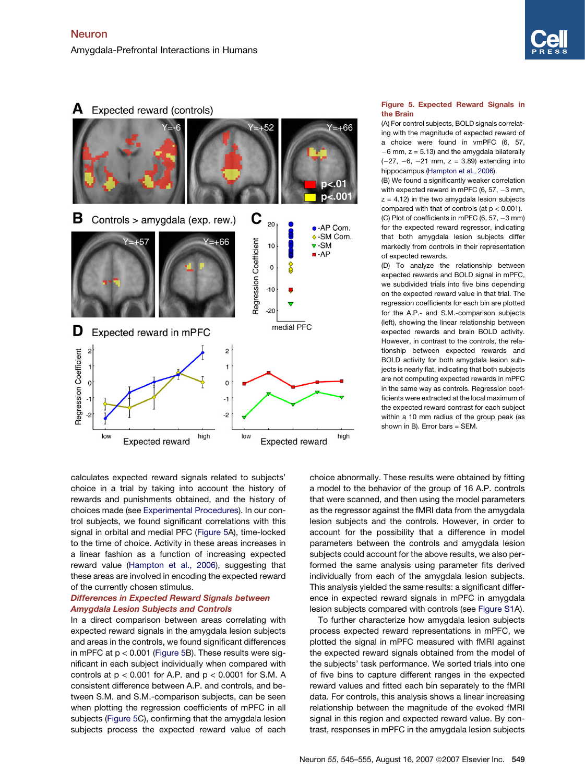<span id="page-4-0"></span>

Figure 5. Expected Reward Signals in the Brain

(A) For control subjects, BOLD signals correlating with the magnitude of expected reward of a choice were found in vmPFC (6, 57,  $-6$  mm,  $z = 5.13$ ) and the amygdala bilaterally  $(-27, -6, -21 \text{ mm}, z = 3.89)$  extending into hippocampus [\(Hampton et al., 2006\)](#page-9-0).

(B) We found a significantly weaker correlation with expected reward in mPFC  $(6, 57, -3 \text{ mm})$ ,  $z = 4.12$ ) in the two amygdala lesion subjects compared with that of controls (at  $p < 0.001$ ). (C) Plot of coefficients in mPFC  $(6, 57, -3$  mm) for the expected reward regressor, indicating that both amygdala lesion subjects differ markedly from controls in their representation of expected rewards.

(D) To analyze the relationship between expected rewards and BOLD signal in mPFC, we subdivided trials into five bins depending on the expected reward value in that trial. The regression coefficients for each bin are plotted for the A.P.- and S.M.-comparison subjects (left), showing the linear relationship between expected rewards and brain BOLD activity. However, in contrast to the controls, the relationship between expected rewards and BOLD activity for both amygdala lesion subjects is nearly flat, indicating that both subjects are not computing expected rewards in mPFC in the same way as controls. Regression coefficients were extracted at the local maximum of the expected reward contrast for each subject within a 10 mm radius of the group peak (as shown in B). Error bars = SEM.

calculates expected reward signals related to subjects' choice in a trial by taking into account the history of rewards and punishments obtained, and the history of choices made (see [Experimental Procedures\)](#page-7-0). In our control subjects, we found significant correlations with this signal in orbital and medial PFC (Figure 5A), time-locked to the time of choice. Activity in these areas increases in a linear fashion as a function of increasing expected reward value ([Hampton et al., 2006\)](#page-9-0), suggesting that these areas are involved in encoding the expected reward of the currently chosen stimulus.

## Differences in Expected Reward Signals between Amygdala Lesion Subjects and Controls

In a direct comparison between areas correlating with expected reward signals in the amygdala lesion subjects and areas in the controls, we found significant differences in mPFC at p < 0.001 (Figure 5B). These results were significant in each subject individually when compared with controls at  $p < 0.001$  for A.P. and  $p < 0.0001$  for S.M. A consistent difference between A.P. and controls, and between S.M. and S.M.-comparison subjects, can be seen when plotting the regression coefficients of mPFC in all subjects (Figure 5C), confirming that the amygdala lesion subjects process the expected reward value of each choice abnormally. These results were obtained by fitting a model to the behavior of the group of 16 A.P. controls that were scanned, and then using the model parameters as the regressor against the fMRI data from the amygdala lesion subjects and the controls. However, in order to account for the possibility that a difference in model parameters between the controls and amygdala lesion subjects could account for the above results, we also performed the same analysis using parameter fits derived individually from each of the amygdala lesion subjects. This analysis yielded the same results: a significant difference in expected reward signals in mPFC in amygdala lesion subjects compared with controls (see [Figure S1A](#page-8-0)).

To further characterize how amygdala lesion subjects process expected reward representations in mPFC, we plotted the signal in mPFC measured with fMRI against the expected reward signals obtained from the model of the subjects' task performance. We sorted trials into one of five bins to capture different ranges in the expected reward values and fitted each bin separately to the fMRI data. For controls, this analysis shows a linear increasing relationship between the magnitude of the evoked fMRI signal in this region and expected reward value. By contrast, responses in mPFC in the amygdala lesion subjects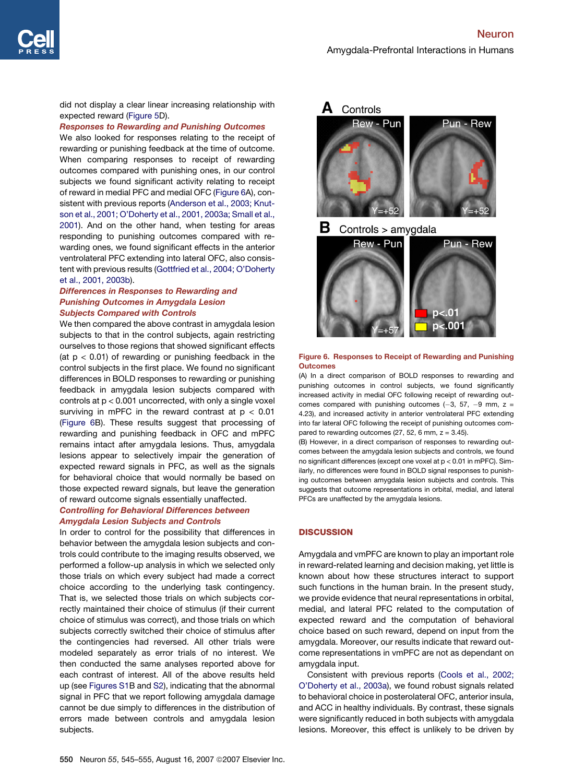did not display a clear linear increasing relationship with expected reward [\(Figure 5](#page-4-0)D).

Responses to Rewarding and Punishing Outcomes We also looked for responses relating to the receipt of rewarding or punishing feedback at the time of outcome. When comparing responses to receipt of rewarding outcomes compared with punishing ones, in our control subjects we found significant activity relating to receipt of reward in medial PFC and medial OFC (Figure 6A), consistent with previous reports ([Anderson et al., 2003; Knut](#page-9-0)[son et al., 2001; O'Doherty et al., 2001, 2003a; Small et al.,](#page-9-0) [2001](#page-9-0)). And on the other hand, when testing for areas responding to punishing outcomes compared with re-

# warding ones, we found significant effects in the anterior ventrolateral PFC extending into lateral OFC, also consistent with previous results [\(Gottfried et al., 2004; O'Doherty](#page-9-0) [et al., 2001, 2003b](#page-9-0)).

## Differences in Responses to Rewarding and Punishing Outcomes in Amygdala Lesion Subjects Compared with Controls

We then compared the above contrast in amygdala lesion subjects to that in the control subjects, again restricting ourselves to those regions that showed significant effects (at  $p < 0.01$ ) of rewarding or punishing feedback in the control subjects in the first place. We found no significant differences in BOLD responses to rewarding or punishing feedback in amygdala lesion subjects compared with controls at p < 0.001 uncorrected, with only a single voxel surviving in mPFC in the reward contrast at  $p < 0.01$ (Figure 6B). These results suggest that processing of rewarding and punishing feedback in OFC and mPFC remains intact after amygdala lesions. Thus, amygdala lesions appear to selectively impair the generation of expected reward signals in PFC, as well as the signals for behavioral choice that would normally be based on those expected reward signals, but leave the generation of reward outcome signals essentially unaffected.

## Controlling for Behavioral Differences between Amygdala Lesion Subjects and Controls

In order to control for the possibility that differences in behavior between the amygdala lesion subjects and controls could contribute to the imaging results observed, we performed a follow-up analysis in which we selected only those trials on which every subject had made a correct choice according to the underlying task contingency. That is, we selected those trials on which subjects correctly maintained their choice of stimulus (if their current choice of stimulus was correct), and those trials on which subjects correctly switched their choice of stimulus after the contingencies had reversed. All other trials were modeled separately as error trials of no interest. We then conducted the same analyses reported above for each contrast of interest. All of the above results held up (see [Figures S1](#page-8-0)B and [S2\)](#page-8-0), indicating that the abnormal signal in PFC that we report following amygdala damage cannot be due simply to differences in the distribution of errors made between controls and amygdala lesion subjects.



## Figure 6. Responses to Receipt of Rewarding and Punishing **Outcomes**

(A) In a direct comparison of BOLD responses to rewarding and punishing outcomes in control subjects, we found significantly increased activity in medial OFC following receipt of rewarding outcomes compared with punishing outcomes  $(-3, 57, -9$  mm, z = 4.23), and increased activity in anterior ventrolateral PFC extending into far lateral OFC following the receipt of punishing outcomes compared to rewarding outcomes (27, 52, 6 mm,  $z = 3.45$ ).

(B) However, in a direct comparison of responses to rewarding outcomes between the amygdala lesion subjects and controls, we found no significant differences (except one voxel at p < 0.01 in mPFC). Similarly, no differences were found in BOLD signal responses to punishing outcomes between amygdala lesion subjects and controls. This suggests that outcome representations in orbital, medial, and lateral PFCs are unaffected by the amygdala lesions.

# **DISCUSSION**

Amygdala and vmPFC are known to play an important role in reward-related learning and decision making, yet little is known about how these structures interact to support such functions in the human brain. In the present study, we provide evidence that neural representations in orbital, medial, and lateral PFC related to the computation of expected reward and the computation of behavioral choice based on such reward, depend on input from the amygdala. Moreover, our results indicate that reward outcome representations in vmPFC are not as dependant on amygdala input.

Consistent with previous reports ([Cools et al., 2002;](#page-9-0) [O'Doherty et al., 2003a](#page-9-0)), we found robust signals related to behavioral choice in posterolateral OFC, anterior insula, and ACC in healthy individuals. By contrast, these signals were significantly reduced in both subjects with amygdala lesions. Moreover, this effect is unlikely to be driven by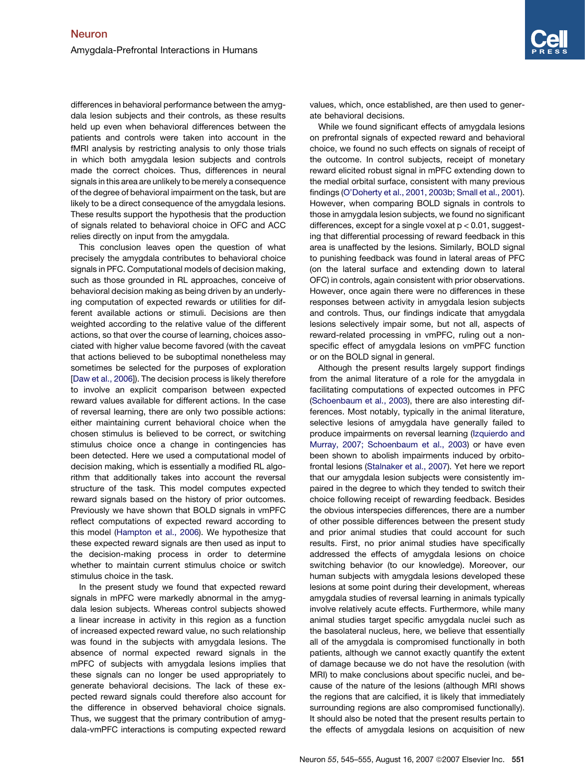differences in behavioral performance between the amygdala lesion subjects and their controls, as these results held up even when behavioral differences between the patients and controls were taken into account in the fMRI analysis by restricting analysis to only those trials in which both amygdala lesion subjects and controls made the correct choices. Thus, differences in neural signals in this area are unlikely to be merely a consequence of the degree of behavioral impairment on the task, but are likely to be a direct consequence of the amygdala lesions. These results support the hypothesis that the production of signals related to behavioral choice in OFC and ACC relies directly on input from the amygdala.

This conclusion leaves open the question of what precisely the amygdala contributes to behavioral choice signals in PFC. Computational models of decision making, such as those grounded in RL approaches, conceive of behavioral decision making as being driven by an underlying computation of expected rewards or utilities for different available actions or stimuli. Decisions are then weighted according to the relative value of the different actions, so that over the course of learning, choices associated with higher value become favored (with the caveat that actions believed to be suboptimal nonetheless may sometimes be selected for the purposes of exploration [[Daw et al., 2006\]](#page-9-0)). The decision process is likely therefore to involve an explicit comparison between expected reward values available for different actions. In the case of reversal learning, there are only two possible actions: either maintaining current behavioral choice when the chosen stimulus is believed to be correct, or switching stimulus choice once a change in contingencies has been detected. Here we used a computational model of decision making, which is essentially a modified RL algorithm that additionally takes into account the reversal structure of the task. This model computes expected reward signals based on the history of prior outcomes. Previously we have shown that BOLD signals in vmPFC reflect computations of expected reward according to this model ([Hampton et al., 2006\)](#page-9-0). We hypothesize that these expected reward signals are then used as input to the decision-making process in order to determine whether to maintain current stimulus choice or switch stimulus choice in the task.

In the present study we found that expected reward signals in mPFC were markedly abnormal in the amygdala lesion subjects. Whereas control subjects showed a linear increase in activity in this region as a function of increased expected reward value, no such relationship was found in the subjects with amygdala lesions. The absence of normal expected reward signals in the mPFC of subjects with amygdala lesions implies that these signals can no longer be used appropriately to generate behavioral decisions. The lack of these expected reward signals could therefore also account for the difference in observed behavioral choice signals. Thus, we suggest that the primary contribution of amygdala-vmPFC interactions is computing expected reward values, which, once established, are then used to generate behavioral decisions.

While we found significant effects of amygdala lesions on prefrontal signals of expected reward and behavioral choice, we found no such effects on signals of receipt of the outcome. In control subjects, receipt of monetary reward elicited robust signal in mPFC extending down to the medial orbital surface, consistent with many previous findings ([O'Doherty et al., 2001, 2003b; Small et al., 2001](#page-9-0)). However, when comparing BOLD signals in controls to those in amygdala lesion subjects, we found no significant differences, except for a single voxel at  $p < 0.01$ , suggesting that differential processing of reward feedback in this area is unaffected by the lesions. Similarly, BOLD signal to punishing feedback was found in lateral areas of PFC (on the lateral surface and extending down to lateral OFC) in controls, again consistent with prior observations. However, once again there were no differences in these responses between activity in amygdala lesion subjects and controls. Thus, our findings indicate that amygdala lesions selectively impair some, but not all, aspects of reward-related processing in vmPFC, ruling out a nonspecific effect of amygdala lesions on vmPFC function or on the BOLD signal in general.

Although the present results largely support findings from the animal literature of a role for the amygdala in facilitating computations of expected outcomes in PFC [\(Schoenbaum et al., 2003\)](#page-10-0), there are also interesting differences. Most notably, typically in the animal literature, selective lesions of amygdala have generally failed to produce impairments on reversal learning ([Izquierdo and](#page-9-0) [Murray, 2007; Schoenbaum et al., 2003](#page-9-0)) or have even been shown to abolish impairments induced by orbitofrontal lesions [\(Stalnaker et al., 2007](#page-10-0)). Yet here we report that our amygdala lesion subjects were consistently impaired in the degree to which they tended to switch their choice following receipt of rewarding feedback. Besides the obvious interspecies differences, there are a number of other possible differences between the present study and prior animal studies that could account for such results. First, no prior animal studies have specifically addressed the effects of amygdala lesions on choice switching behavior (to our knowledge). Moreover, our human subjects with amygdala lesions developed these lesions at some point during their development, whereas amygdala studies of reversal learning in animals typically involve relatively acute effects. Furthermore, while many animal studies target specific amygdala nuclei such as the basolateral nucleus, here, we believe that essentially all of the amygdala is compromised functionally in both patients, although we cannot exactly quantify the extent of damage because we do not have the resolution (with MRI) to make conclusions about specific nuclei, and because of the nature of the lesions (although MRI shows the regions that are calcified, it is likely that immediately surrounding regions are also compromised functionally). It should also be noted that the present results pertain to the effects of amygdala lesions on acquisition of new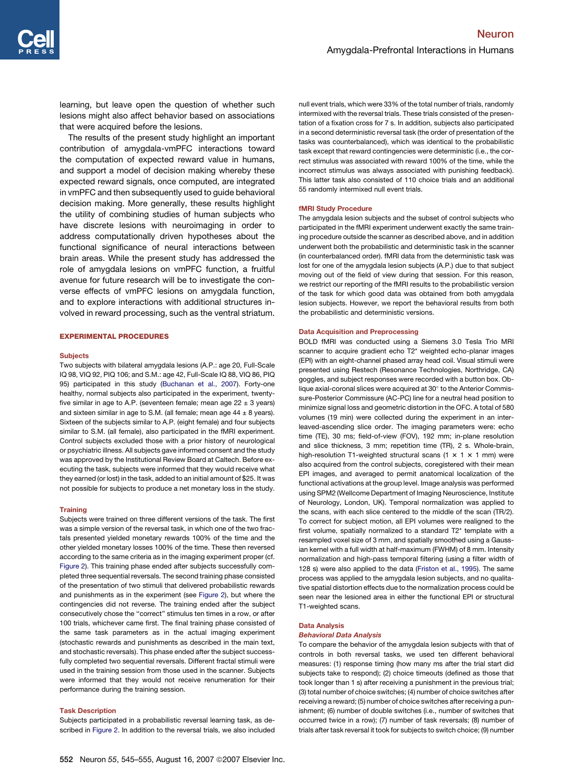<span id="page-7-0"></span>learning, but leave open the question of whether such lesions might also affect behavior based on associations that were acquired before the lesions.

The results of the present study highlight an important contribution of amygdala-vmPFC interactions toward the computation of expected reward value in humans, and support a model of decision making whereby these expected reward signals, once computed, are integrated in vmPFC and then subsequently used to guide behavioral decision making. More generally, these results highlight the utility of combining studies of human subjects who have discrete lesions with neuroimaging in order to address computationally driven hypotheses about the functional significance of neural interactions between brain areas. While the present study has addressed the role of amygdala lesions on vmPFC function, a fruitful avenue for future research will be to investigate the converse effects of vmPFC lesions on amygdala function, and to explore interactions with additional structures involved in reward processing, such as the ventral striatum.

#### EXPERIMENTAL PROCEDURES

#### **Subjects**

Two subjects with bilateral amygdala lesions (A.P.: age 20, Full-Scale IQ 98, VIQ 92, PIQ 106; and S.M.: age 42, Full-Scale IQ 88, VIQ 86, PIQ 95) participated in this study [\(Buchanan et al., 2007\)](#page-9-0). Forty-one healthy, normal subjects also participated in the experiment, twentyfive similar in age to A.P. (seventeen female; mean age  $22 \pm 3$  years) and sixteen similar in age to S.M. (all female; mean age  $44 \pm 8$  years). Sixteen of the subjects similar to A.P. (eight female) and four subjects similar to S.M. (all female), also participated in the fMRI experiment. Control subjects excluded those with a prior history of neurological or psychiatric illness. All subjects gave informed consent and the study was approved by the Institutional Review Board at Caltech. Before executing the task, subjects were informed that they would receive what they earned (or lost) in the task, added to an initial amount of \$25. It was not possible for subjects to produce a net monetary loss in the study.

#### Training

Subjects were trained on three different versions of the task. The first was a simple version of the reversal task, in which one of the two fractals presented yielded monetary rewards 100% of the time and the other yielded monetary losses 100% of the time. These then reversed according to the same criteria as in the imaging experiment proper (cf. [Figure 2](#page-1-0)). This training phase ended after subjects successfully completed three sequential reversals. The second training phase consisted of the presentation of two stimuli that delivered probabilistic rewards and punishments as in the experiment (see [Figure 2\)](#page-1-0), but where the contingencies did not reverse. The training ended after the subject consecutively chose the ''correct'' stimulus ten times in a row, or after 100 trials, whichever came first. The final training phase consisted of the same task parameters as in the actual imaging experiment (stochastic rewards and punishments as described in the main text, and stochastic reversals). This phase ended after the subject successfully completed two sequential reversals. Different fractal stimuli were used in the training session from those used in the scanner. Subjects were informed that they would not receive renumeration for their performance during the training session.

#### **Task Description**

Subjects participated in a probabilistic reversal learning task, as described in [Figure 2.](#page-1-0) In addition to the reversal trials, we also included null event trials, which were 33% of the total number of trials, randomly intermixed with the reversal trials. These trials consisted of the presentation of a fixation cross for 7 s. In addition, subjects also participated in a second deterministic reversal task (the order of presentation of the tasks was counterbalanced), which was identical to the probabilistic task except that reward contingencies were deterministic (i.e., the correct stimulus was associated with reward 100% of the time, while the incorrect stimulus was always associated with punishing feedback). This latter task also consisted of 110 choice trials and an additional 55 randomly intermixed null event trials.

#### fMRI Study Procedure

The amygdala lesion subjects and the subset of control subjects who participated in the fMRI experiment underwent exactly the same training procedure outside the scanner as described above, and in addition underwent both the probabilistic and deterministic task in the scanner (in counterbalanced order). fMRI data from the deterministic task was lost for one of the amygdala lesion subjects (A.P.) due to that subject moving out of the field of view during that session. For this reason, we restrict our reporting of the fMRI results to the probabilistic version of the task for which good data was obtained from both amygdala lesion subjects. However, we report the behavioral results from both the probabilistic and deterministic versions.

#### Data Acquisition and Preprocessing

BOLD fMRI was conducted using a Siemens 3.0 Tesla Trio MRI scanner to acquire gradient echo T2\* weighted echo-planar images (EPI) with an eight-channel phased array head coil. Visual stimuli were presented using Restech (Resonance Technologies, Northridge, CA) goggles, and subject responses were recorded with a button box. Oblique axial-coronal slices were acquired at 30° to the Anterior Commissure-Posterior Commissure (AC-PC) line for a neutral head position to minimize signal loss and geometric distortion in the OFC. A total of 580 volumes (19 min) were collected during the experiment in an interleaved-ascending slice order. The imaging parameters were: echo time (TE), 30 ms; field-of-view (FOV), 192 mm; in-plane resolution and slice thickness, 3 mm; repetition time (TR), 2 s. Whole-brain, high-resolution T1-weighted structural scans (1  $\times$  1  $\times$  1 mm) were also acquired from the control subjects, coregistered with their mean EPI images, and averaged to permit anatomical localization of the functional activations at the group level. Image analysis was performed using SPM2 (Wellcome Department of Imaging Neuroscience, Institute of Neurology, London, UK). Temporal normalization was applied to the scans, with each slice centered to the middle of the scan (TR/2). To correct for subject motion, all EPI volumes were realigned to the first volume, spatially normalized to a standard T2\* template with a resampled voxel size of 3 mm, and spatially smoothed using a Gaussian kernel with a full width at half-maximum (FWHM) of 8 mm. Intensity normalization and high-pass temporal filtering (using a filter width of 128 s) were also applied to the data ([Friston et al., 1995\)](#page-9-0). The same process was applied to the amygdala lesion subjects, and no qualitative spatial distortion effects due to the normalization process could be seen near the lesioned area in either the functional EPI or structural T1-weighted scans.

#### Data Analysis

#### Behavioral Data Analysis

To compare the behavior of the amygdala lesion subjects with that of controls in both reversal tasks, we used ten different behavioral measures: (1) response timing (how many ms after the trial start did subjects take to respond); (2) choice timeouts (defined as those that took longer than 1 s) after receiving a punishment in the previous trial; (3) total number of choice switches; (4) number of choice switches after receiving a reward; (5) number of choice switches after receiving a punishment; (6) number of double switches (i.e., number of switches that occurred twice in a row); (7) number of task reversals; (8) number of trials after task reversal it took for subjects to switch choice; (9) number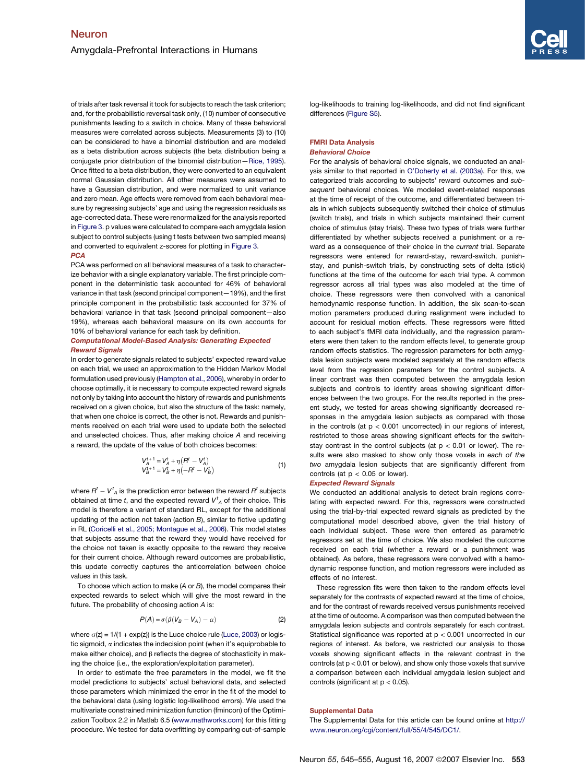<span id="page-8-0"></span>of trials after task reversal it took for subjects to reach the task criterion; and, for the probabilistic reversal task only, (10) number of consecutive punishments leading to a switch in choice. Many of these behavioral measures were correlated across subjects. Measurements (3) to (10) can be considered to have a binomial distribution and are modeled as a beta distribution across subjects (the beta distribution being a conjugate prior distribution of the binomial distribution—[Rice, 1995](#page-9-0)). Once fitted to a beta distribution, they were converted to an equivalent normal Gaussian distribution. All other measures were assumed to have a Gaussian distribution, and were normalized to unit variance and zero mean. Age effects were removed from each behavioral measure by regressing subjects' age and using the regression residuals as age-corrected data. These were renormalized for the analysis reported in [Figure 3](#page-2-0). p values were calculated to compare each amygdala lesion subject to control subjects (using t tests between two sampled means) and converted to equivalent z-scores for plotting in [Figure 3](#page-2-0).

### **PCA**

PCA was performed on all behavioral measures of a task to characterize behavior with a single explanatory variable. The first principle component in the deterministic task accounted for 46% of behavioral variance in that task (second principal component—19%), and the first principle component in the probabilistic task accounted for 37% of behavioral variance in that task (second principal component—also 19%), whereas each behavioral measure on its own accounts for 10% of behavioral variance for each task by definition.

#### Computational Model-Based Analysis: Generating Expected Reward Signals

In order to generate signals related to subjects' expected reward value on each trial, we used an approximation to the Hidden Markov Model formulation used previously ([Hampton et al., 2006](#page-9-0)), whereby in order to choose optimally, it is necessary to compute expected reward signals not only by taking into account the history of rewards and punishments received on a given choice, but also the structure of the task: namely, that when one choice is correct, the other is not. Rewards and punishments received on each trial were used to update both the selected and unselected choices. Thus, after making choice *A* and receiving a reward, the update of the value of both choices becomes:

$$
V_A^{t+1} = V_A^t + \eta (R^t - V_A^t)
$$
  
\n
$$
V_B^{t+1} = V_B^t + \eta (-R^t - V_B^t)
$$
\n(1)

where  $R^t - V^t_{\ A}$  is the prediction error between the reward  $R^t$  subjects obtained at time *t*, and the expected reward *V<sup>t</sup> <sup>A</sup>* of their choice. This model is therefore a variant of standard RL, except for the additional updating of the action not taken (action *B*), similar to fictive updating in RL ([Coricelli et al., 2005; Montague et al., 2006\)](#page-9-0). This model states that subjects assume that the reward they would have received for the choice not taken is exactly opposite to the reward they receive for their current choice. Although reward outcomes are probabilistic, this update correctly captures the anticorrelation between choice values in this task.

To choose which action to make (*A* or *B*), the model compares their expected rewards to select which will give the most reward in the future. The probability of choosing action *A* is:

$$
P(A) = \sigma(\beta(V_B - V_A) - \alpha)
$$
 (2)

where  $\sigma(z) = 1/(1 + \exp(z))$  is the Luce choice rule [\(Luce, 2003](#page-9-0)) or logistic sigmoid, a indicates the indecision point (when it's equiprobable to make either choice), and  $\beta$  reflects the degree of stochasticity in making the choice (i.e., the exploration/exploitation parameter).

In order to estimate the free parameters in the model, we fit the model predictions to subjects' actual behavioral data, and selected those parameters which minimized the error in the fit of the model to the behavioral data (using logistic log-likelihood errors). We used the multivariate constrained minimization function (fmincon) of the Optimization Toolbox 2.2 in Matlab 6.5 ([www.mathworks.com\)](http://www.mathworks.com) for this fitting procedure. We tested for data overfitting by comparing out-of-sample log-likelihoods to training log-likelihoods, and did not find significant differences (Figure S5).

## FMRI Data Analysis

## Behavioral Choice

For the analysis of behavioral choice signals, we conducted an analysis similar to that reported in [O'Doherty et al. \(2003a\)](#page-9-0). For this, we categorized trials according to subjects' reward outcomes and *subsequent* behavioral choices. We modeled event-related responses at the time of receipt of the outcome, and differentiated between trials in which subjects subsequently switched their choice of stimulus (switch trials), and trials in which subjects maintained their current choice of stimulus (stay trials). These two types of trials were further differentiated by whether subjects received a punishment or a reward as a consequence of their choice in the *current* trial. Separate regressors were entered for reward-stay, reward-switch, punishstay, and punish-switch trials, by constructing sets of delta (stick) functions at the time of the outcome for each trial type. A common regressor across all trial types was also modeled at the time of choice. These regressors were then convolved with a canonical hemodynamic response function. In addition, the six scan-to-scan motion parameters produced during realignment were included to account for residual motion effects. These regressors were fitted to each subject's fMRI data individually, and the regression parameters were then taken to the random effects level, to generate group random effects statistics. The regression parameters for both amygdala lesion subjects were modeled separately at the random effects level from the regression parameters for the control subjects. A linear contrast was then computed between the amygdala lesion subjects and controls to identify areas showing significant differences between the two groups. For the results reported in the present study, we tested for areas showing significantly decreased responses in the amygdala lesion subjects as compared with those in the controls (at  $p < 0.001$  uncorrected) in our regions of interest, restricted to those areas showing significant effects for the switchstay contrast in the control subjects (at  $p < 0.01$  or lower). The results were also masked to show only those voxels in *each of the two* amygdala lesion subjects that are significantly different from controls (at  $p < 0.05$  or lower).

#### Expected Reward Signals

We conducted an additional analysis to detect brain regions correlating with expected reward. For this, regressors were constructed using the trial-by-trial expected reward signals as predicted by the computational model described above, given the trial history of each individual subject. These were then entered as parametric regressors set at the time of choice. We also modeled the outcome received on each trial (whether a reward or a punishment was obtained). As before, these regressors were convolved with a hemodynamic response function, and motion regressors were included as effects of no interest.

These regression fits were then taken to the random effects level separately for the contrasts of expected reward at the time of choice, and for the contrast of rewards received versus punishments received at the time of outcome. A comparison was then computed between the amygdala lesion subjects and controls separately for each contrast. Statistical significance was reported at p < 0.001 uncorrected in our regions of interest. As before, we restricted our analysis to those voxels showing significant effects in the relevant contrast in the controls (at p < 0.01 or below), and show only those voxels that survive a comparison between each individual amygdala lesion subject and controls (significant at  $p < 0.05$ ).

#### Supplemental Data

The Supplemental Data for this article can be found online at [http://](http://www.neuron.org/cgi/content/full/55/4/545/DC1/) [www.neuron.org/cgi/content/full/55/4/545/DC1/](http://www.neuron.org/cgi/content/full/55/4/545/DC1/).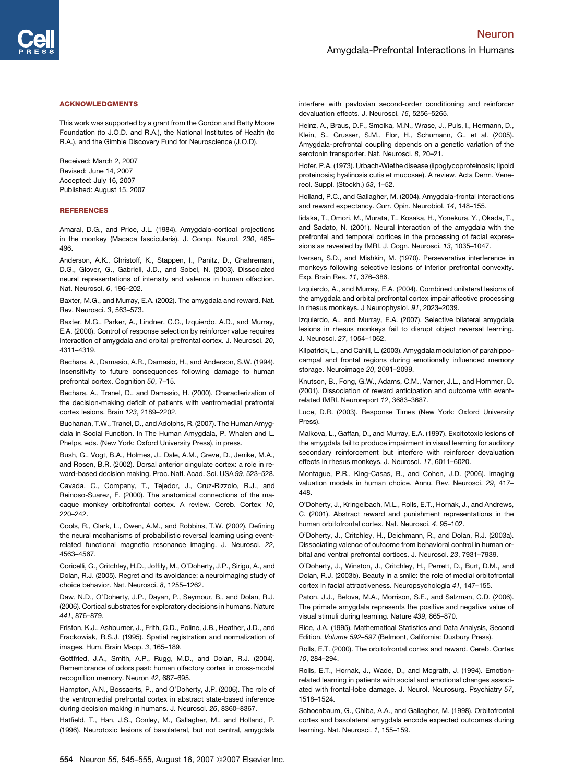### <span id="page-9-0"></span>ACKNOWLEDGMENTS

This work was supported by a grant from the Gordon and Betty Moore Foundation (to J.O.D. and R.A.), the National Institutes of Health (to R.A.), and the Gimble Discovery Fund for Neuroscience (J.O.D).

Received: March 2, 2007 Revised: June 14, 2007 Accepted: July 16, 2007 Published: August 15, 2007

#### **REFERENCES**

Amaral, D.G., and Price, J.L. (1984). Amygdalo-cortical projections in the monkey (Macaca fascicularis). J. Comp. Neurol. *230*, 465– 496.

Anderson, A.K., Christoff, K., Stappen, I., Panitz, D., Ghahremani, D.G., Glover, G., Gabrieli, J.D., and Sobel, N. (2003). Dissociated neural representations of intensity and valence in human olfaction. Nat. Neurosci. *6*, 196–202.

Baxter, M.G., and Murray, E.A. (2002). The amygdala and reward. Nat. Rev. Neurosci. *3*, 563–573.

Baxter, M.G., Parker, A., Lindner, C.C., Izquierdo, A.D., and Murray, E.A. (2000). Control of response selection by reinforcer value requires interaction of amygdala and orbital prefrontal cortex. J. Neurosci. *20*, 4311–4319.

Bechara, A., Damasio, A.R., Damasio, H., and Anderson, S.W. (1994). Insensitivity to future consequences following damage to human prefrontal cortex. Cognition *50*, 7–15.

Bechara, A., Tranel, D., and Damasio, H. (2000). Characterization of the decision-making deficit of patients with ventromedial prefrontal cortex lesions. Brain *123*, 2189–2202.

Buchanan, T.W., Tranel, D., and Adolphs, R. (2007). The Human Amygdala in Social Function. In The Human Amygdala, P. Whalen and L. Phelps, eds. (New York: Oxford University Press), in press.

Bush, G., Vogt, B.A., Holmes, J., Dale, A.M., Greve, D., Jenike, M.A., and Rosen, B.R. (2002). Dorsal anterior cingulate cortex: a role in reward-based decision making. Proc. Natl. Acad. Sci. USA *99*, 523–528.

Cavada, C., Company, T., Tejedor, J., Cruz-Rizzolo, R.J., and Reinoso-Suarez, F. (2000). The anatomical connections of the macaque monkey orbitofrontal cortex. A review. Cereb. Cortex *10*, 220–242.

Cools, R., Clark, L., Owen, A.M., and Robbins, T.W. (2002). Defining the neural mechanisms of probabilistic reversal learning using eventrelated functional magnetic resonance imaging. J. Neurosci. *22*, 4563–4567.

Coricelli, G., Critchley, H.D., Joffily, M., O'Doherty, J.P., Sirigu, A., and Dolan, R.J. (2005). Regret and its avoidance: a neuroimaging study of choice behavior. Nat. Neurosci. *8*, 1255–1262.

Daw, N.D., O'Doherty, J.P., Dayan, P., Seymour, B., and Dolan, R.J. (2006). Cortical substrates for exploratory decisions in humans. Nature *441*, 876–879.

Friston, K.J., Ashburner, J., Frith, C.D., Poline, J.B., Heather, J.D., and Frackowiak, R.S.J. (1995). Spatial registration and normalization of images. Hum. Brain Mapp. *3*, 165–189.

Gottfried, J.A., Smith, A.P., Rugg, M.D., and Dolan, R.J. (2004). Remembrance of odors past: human olfactory cortex in cross-modal recognition memory. Neuron *42*, 687–695.

Hampton, A.N., Bossaerts, P., and O'Doherty, J.P. (2006). The role of the ventromedial prefrontal cortex in abstract state-based inference during decision making in humans. J. Neurosci. *26*, 8360–8367.

Hatfield, T., Han, J.S., Conley, M., Gallagher, M., and Holland, P. (1996). Neurotoxic lesions of basolateral, but not central, amygdala interfere with pavlovian second-order conditioning and reinforcer devaluation effects. J. Neurosci. *16*, 5256–5265.

Heinz, A., Braus, D.F., Smolka, M.N., Wrase, J., Puls, I., Hermann, D., Klein, S., Grusser, S.M., Flor, H., Schumann, G., et al. (2005). Amygdala-prefrontal coupling depends on a genetic variation of the serotonin transporter. Nat. Neurosci. *8*, 20–21.

Hofer, P.A. (1973). Urbach-Wiethe disease (lipoglycoproteinosis; lipoid proteinosis; hyalinosis cutis et mucosae). A review. Acta Derm. Venereol. Suppl. (Stockh.) *53*, 1–52.

Holland, P.C., and Gallagher, M. (2004). Amygdala-frontal interactions and reward expectancy. Curr. Opin. Neurobiol. *14*, 148–155.

Iidaka, T., Omori, M., Murata, T., Kosaka, H., Yonekura, Y., Okada, T., and Sadato, N. (2001). Neural interaction of the amygdala with the prefrontal and temporal cortices in the processing of facial expressions as revealed by fMRI. J. Cogn. Neurosci. *13*, 1035–1047.

Iversen, S.D., and Mishkin, M. (1970). Perseverative interference in monkeys following selective lesions of inferior prefrontal convexity. Exp. Brain Res. *11*, 376–386.

Izquierdo, A., and Murray, E.A. (2004). Combined unilateral lesions of the amygdala and orbital prefrontal cortex impair affective processing in rhesus monkeys. J Neurophysiol. *91*, 2023–2039.

Izquierdo, A., and Murray, E.A. (2007). Selective bilateral amygdala lesions in rhesus monkeys fail to disrupt object reversal learning. J. Neurosci. *27*, 1054–1062.

Kilpatrick, L., and Cahill, L. (2003). Amygdala modulation of parahippocampal and frontal regions during emotionally influenced memory storage. Neuroimage *20*, 2091–2099.

Knutson, B., Fong, G.W., Adams, C.M., Varner, J.L., and Hommer, D. (2001). Dissociation of reward anticipation and outcome with eventrelated fMRI. Neuroreport *12*, 3683–3687.

Luce, D.R. (2003). Response Times (New York: Oxford University Press).

Malkova, L., Gaffan, D., and Murray, E.A. (1997). Excitotoxic lesions of the amygdala fail to produce impairment in visual learning for auditory secondary reinforcement but interfere with reinforcer devaluation effects in rhesus monkeys. J. Neurosci. *17*, 6011–6020.

Montague, P.R., King-Casas, B., and Cohen, J.D. (2006). Imaging valuation models in human choice. Annu. Rev. Neurosci. *29*, 417– 448.

O'Doherty, J., Kringelbach, M.L., Rolls, E.T., Hornak, J., and Andrews, C. (2001). Abstract reward and punishment representations in the human orbitofrontal cortex. Nat. Neurosci. *4*, 95–102.

O'Doherty, J., Critchley, H., Deichmann, R., and Dolan, R.J. (2003a). Dissociating valence of outcome from behavioral control in human orbital and ventral prefrontal cortices. J. Neurosci. *23*, 7931–7939.

O'Doherty, J., Winston, J., Critchley, H., Perrett, D., Burt, D.M., and Dolan, R.J. (2003b). Beauty in a smile: the role of medial orbitofrontal cortex in facial attractiveness. Neuropsychologia *41*, 147–155.

Paton, J.J., Belova, M.A., Morrison, S.E., and Salzman, C.D. (2006). The primate amygdala represents the positive and negative value of visual stimuli during learning. Nature *439*, 865–870.

Rice, J.A. (1995). Mathematical Statistics and Data Analysis, Second Edition, *Volume 592–597* (Belmont, California: Duxbury Press).

Rolls, E.T. (2000). The orbitofrontal cortex and reward. Cereb. Cortex *10*, 284–294.

Rolls, E.T., Hornak, J., Wade, D., and Mcgrath, J. (1994). Emotionrelated learning in patients with social and emotional changes associated with frontal-lobe damage. J. Neurol. Neurosurg. Psychiatry *57*, 1518–1524.

Schoenbaum, G., Chiba, A.A., and Gallagher, M. (1998). Orbitofrontal cortex and basolateral amygdala encode expected outcomes during learning. Nat. Neurosci. *1*, 155–159.